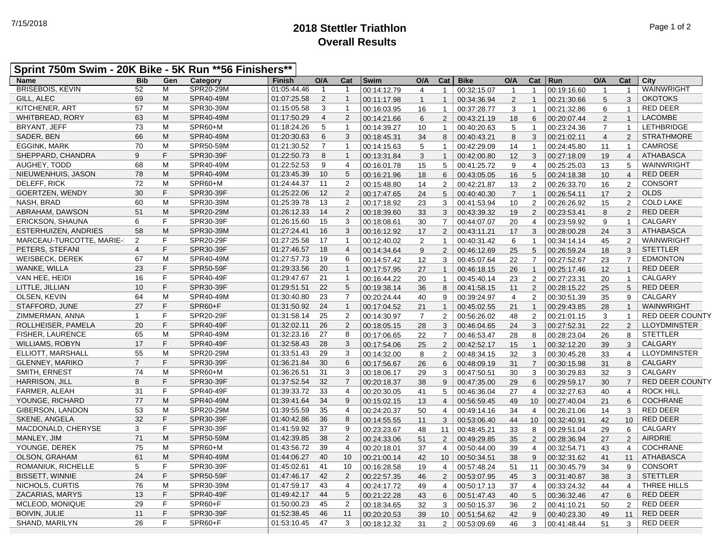## **2018 Stettler Triathlon** 7/15/2018 Page 1 of 2 **Overall Results**

## **Sprint 750m Swim - 20K Bike - 5K Run \*\*56 Finishers\*\***

| <b>Name</b>                 | <b>Bib</b>     | Gen | Category         | Finish      | O/A            | Cat            | <b>Swim</b> | O/A            | Cat            | <b>Bike</b> | O/A            | Cat             | Run         | O/A            | Cat             | City                   |
|-----------------------------|----------------|-----|------------------|-------------|----------------|----------------|-------------|----------------|----------------|-------------|----------------|-----------------|-------------|----------------|-----------------|------------------------|
| <b>BRISEBOIS, KEVIN</b>     | 52             | M   | SPR20-29M        | 01:05:44.46 | $\overline{1}$ | $\overline{1}$ | 00:14:12.79 | $\overline{4}$ | $\mathbf{1}$   | 00:32:15.07 | $\overline{1}$ | $\mathbf{1}$    | 00:19:16.60 | $\overline{1}$ | $\overline{1}$  | WAINWRIGHT             |
| <b>GILL, ALEC</b>           | 69             | M   | SPR40-49M        | 01:07:25.58 | 2              | $\mathbf{1}$   | 00:11:17.98 | $\mathbf{1}$   | $\mathbf{1}$   | 00:34:36.94 | $\overline{2}$ | $\mathbf{1}$    | 00:21:30.66 | 5              | 3               | <b>OKOTOKS</b>         |
| KITCHENER, ART              | 57             | M   | SPR30-39M        | 01:15:05.58 | 3              | $\mathbf{1}$   | 00:16:03.95 | 16             | $\mathbf{1}$   | 00:37:28.77 | 3              | $\overline{1}$  | 00:21:32.86 | 6              | $\mathbf 1$     | <b>RED DEER</b>        |
| <b>WHITBREAD, RORY</b>      | 63             | M   | SPR40-49M        | 01:17:50.29 | $\overline{4}$ | 2              | 00:14:21.66 | 6              | $\overline{2}$ | 00:43:21.19 | 18             | 6               | 00:20:07.44 | $\overline{2}$ | $\mathbf{1}$    | <b>LACOMBE</b>         |
| <b>BRYANT, JEFF</b>         | 73             | M   | SPR60+M          | 01:18:24.26 | 5              | $\mathbf{1}$   | 00:14:39.27 | 10             | $\mathbf{1}$   | 00:40:20.63 | 5              | $\overline{1}$  | 00:23:24.36 | $\overline{7}$ | $\mathbf{1}$    | <b>LETHBRIDGE</b>      |
| SADER, BEN                  | 66             | M   | SPR40-49M        | 01:20:30.63 | 6              | 3              | 00:18:45.31 | 34             | 8              | 00:40:43.21 | $\,8\,$        | 3               | 00:21:02.11 | $\overline{4}$ | 2               | <b>STRATHMORE</b>      |
| <b>EGGINK, MARK</b>         | 70             | M   | SPR50-59M        | 01:21:30.52 | $\overline{7}$ | $\mathbf{1}$   | 00:14:15.63 | 5              | $\mathbf{1}$   | 00:42:29.09 | 14             | $\overline{1}$  | 00:24:45.80 | 11             | $\mathbf{1}$    | <b>CAMROSE</b>         |
| SHEPPARD, CHANDRA           | 9              | F   | SPR30-39F        | 01:22:50.73 | 8              | $\mathbf{1}$   | 00:13:31.84 | 3              | $\mathbf{1}$   | 00:42:00.80 | 12             | 3               | 00:27:18.09 | 19             | $\overline{4}$  | <b>ATHABASCA</b>       |
| AUGHEY, TODD                | 68             | M   | SPR40-49M        | 01:22:52.53 | 9              | $\overline{4}$ | 00:16:01.78 | 15             | 5              | 00:41:25.72 | 9              | $\overline{4}$  | 00:25:25.03 | 13             | 5               | WAINWRIGHT             |
| NIEUWENHUIS, JASON          | 78             | M   | SPR40-49M        | 01:23:45.39 | 10             | 5              | 00:16:21.96 | 18             | 6              | 00:43:05.05 | 16             | 5               | 00:24:18.38 | 10             | $\overline{4}$  | <b>RED DEER</b>        |
| DELEFF, RICK                | 72             | M   | SPR60+M          | 01:24:44.37 | 11             | $\overline{2}$ | 00:15:48.80 | 14             | 2              | 00:42:21.87 | 13             | 2               | 00:26:33.70 | 16             | $\overline{2}$  | <b>CONSORT</b>         |
| <b>GOERTZEN, WENDY</b>      | 30             | F.  | SPR30-39F        | 01:25:22.06 | 12             | 2              | 00:17:47.65 | 24             | 5              | 00:40:40.30 | $\overline{7}$ | $\overline{1}$  | 00:26:54.11 | 17             | $\overline{2}$  | <b>OLDS</b>            |
| NASH, BRAD                  | 60             | M   | SPR30-39M        | 01:25:39.78 | 13             | 2              | 00:17:18.92 | 23             | 3              | 00:41:53.94 | 10             | 2               | 00:26:26.92 | 15             | $\overline{2}$  | <b>COLD LAKE</b>       |
| ABRAHAM, DAWSON             | 51             | M   | SPR20-29M        | 01:26:12.33 | 14             | 2              | 00:18:39.60 | 33             | 3              | 00:43:39.32 | 19             | 2               | 00:23:53.41 | 8              | $\overline{2}$  | <b>RED DEER</b>        |
| <b>ERICKSON, SHAUNA</b>     | 6              | F   | SPR30-39F        | 01:26:15.60 | 15             | 3              | 00:18:08.61 | 30             | $\overline{7}$ | 00:44:07.07 | 20             | $\overline{4}$  | 00:23:59.92 | 9              | $\mathbf{1}$    | CALGARY                |
| <b>ESTERHUIZEN, ANDRIES</b> | 58             | M   | SPR30-39M        | 01:27:24.41 | 16             | 3              | 00:16:12.92 | 17             | $\overline{2}$ | 00:43:11.21 | 17             | 3               | 00:28:00.28 | 24             | 3               | <b>ATHABASCA</b>       |
| MARCEAU-TURCOTTE, MARIE-    | 2              | F   | SPR20-29F        | 01:27:25.58 | 17             | $\overline{1}$ | 00:12:40.02 | $\overline{2}$ | $\overline{1}$ | 00:40:31.42 | 6              | $\overline{1}$  | 00:34:14.14 | 45             | 2               | <b>WAINWRIGHT</b>      |
| PETERS. STEFANI             | $\overline{4}$ | F.  | SPR30-39F        | 01:27:46.57 | 18             | $\overline{4}$ | 00:14:34.64 | 9              | 2              | 00:46:12.69 | 25             | $5\overline{)}$ | 00:26:59.24 | 18             | 3               | <b>STETTLER</b>        |
| WEISBECK, DEREK             | 67             | M   | SPR40-49M        | 01:27:57.73 | 19             | 6              | 00:14:57.42 | 12             | 3              | 00:45:07.64 | 22             | $\overline{7}$  | 00:27:52.67 | 23             | $\overline{7}$  | <b>EDMONTON</b>        |
| WANKE, WILLA                | 23             | F   | SPR50-59F        | 01:29:33.56 | 20             | $\mathbf{1}$   | 00:17:57.95 | 27             | $\mathbf{1}$   | 00:46:18.15 | 26             | $\overline{1}$  | 00:25:17.46 | 12             | $\mathbf{1}$    | <b>RED DEER</b>        |
| VAN HEE, HEIDI              | 16             | F   | SPR40-49F        | 01:29:47.67 | 21             | $\mathbf{1}$   | 00:16:44.22 | 20             | $\mathbf{1}$   | 00:45:40.14 | 23             | 2               | 00:27:23.31 | 20             | $\mathbf{1}$    | <b>CALGARY</b>         |
| LITTLE, JILLIAN             | 10             | F   | SPR30-39F        | 01:29:51.51 | 22             | 5              | 00:19:38.14 | 36             | 8              | 00:41:58.15 | 11             | 2               | 00:28:15.22 | 25             | $5\phantom{.0}$ | <b>RED DEER</b>        |
| <b>OLSEN, KEVIN</b>         | 64             | M   | SPR40-49M        | 01:30:40.80 | 23             | $\overline{7}$ | 00:20:24.44 | 40             | 9              | 00:39:24.97 | 4              | 2               | 00:30:51.39 | 35             | 9               | <b>CALGARY</b>         |
| STAFFORD, JUNE              | 27             | F   | SPR60+F          | 01:31:50.92 | 24             | $\mathbf{1}$   | 00:17:04.52 | 21             | $\overline{1}$ | 00:45:02.55 | 21             | $\overline{1}$  | 00:29:43.85 | 28             | $\mathbf{1}$    | WAINWRIGHT             |
| ZIMMERMAN, ANNA             | $\mathbf{1}$   | F   | SPR20-29F        | 01:31:58.14 | 25             | $\overline{2}$ | 00:14:30.97 | $\overline{7}$ | $\overline{2}$ | 00:56:26.02 | 48             | 2               | 00:21:01.15 | 3              | $\mathbf{1}$    | <b>RED DEER COUNTY</b> |
| ROLLHEISER, PAMELA          | 20             | F   | SPR40-49F        | 01:32:02.11 | 26             | 2              | 00:18:05.15 | 28             | 3              | 00:46:04.65 | 24             | 3               | 00:27:52.31 | 22             | 2               | <b>LLOYDMINSTER</b>    |
| <b>FISHER, LAURENCE</b>     | 65             | M   | SPR40-49M        | 01:32:23.16 | 27             | 8              | 00:17:06.65 | 22             | $\overline{7}$ | 00:46:53.47 | 28             | 8               | 00:28:23.04 | 26             | 8               | <b>STETTLER</b>        |
| <b>WILLIAMS, ROBYN</b>      | 17             | F   | <b>SPR40-49F</b> | 01:32:58.43 | 28             | 3              | 00:17:54.06 | 25             | $\overline{2}$ | 00:42:52.17 | 15             | $\overline{1}$  | 00:32:12.20 | 39             | 3               | <b>CALGARY</b>         |
| ELLIOTT, MARSHALL           | 55             | M   | SPR20-29M        | 01:33:51.43 | 29             | 3              | 00:14:32.00 | 8              | $\overline{2}$ | 00:48:34.15 | 32             | 3               | 00:30:45.28 | 33             | $\overline{4}$  | <b>LLOYDMINSTER</b>    |
| <b>GLENNEY, MARIKO</b>      | $\overline{7}$ | F   | SPR30-39F        | 01:36:21.84 | 30             | 6              | 00:17:56.67 | 26             | 6              | 00:48:09.19 | 31             | $\overline{7}$  | 00:30:15.98 | 31             | 8               | CALGARY                |
| SMITH, ERNEST               | 74             | M   | SPR60+M          | 01:36:26.51 | 31             | 3              | 00:18:06.17 | 29             | 3              | 00:47:50.51 | 30             | 3               | 00:30:29.83 | 32             | 3               | <b>CALGARY</b>         |
| <b>HARRISON, JILL</b>       | 8              | F.  | SPR30-39F        | 01:37:52.54 | 32             | $\overline{7}$ | 00:20:18.37 | 38             | 9              | 00:47:35.00 | 29             | 6               | 00:29:59.17 | 30             | $\overline{7}$  | <b>RED DEER COUNTY</b> |
| FARMER, ALEAH               | 31             | F   | SPR40-49F        | 01:39:33.72 | 33             | $\overline{4}$ | 00:20:30.05 | 41             | 5              | 00:46:36.04 | 27             | 4               | 00:32:27.63 | 40             | 4               | <b>ROCK HILL</b>       |
| YOUNGE, RICHARD             | 77             | M   | SPR40-49M        | 01:39:41.64 | 34             | 9              | 00:15:02.15 | 13             | $\overline{4}$ | 00:56:59.45 | 49             | 10 <sup>°</sup> | 00:27:40.04 | 21             | 6               | <b>COCHRANE</b>        |
| GIBERSON, LANDON            | 53             | M   | SPR20-29M        | 01:39:55.59 | 35             | $\overline{4}$ | 00:24:20.37 | 50             | $\overline{4}$ | 00:49:14.16 | 34             | $\overline{4}$  | 00:26:21.06 | 14             | 3               | <b>RED DEER</b>        |
| SKENE, ANGELA               | 32             | F.  | SPR30-39F        | 01:40:42.86 | 36             | 8              | 00:14:55.55 | 11             | 3              | 00:53:06.40 | 44             | 10              | 00:32:40.91 | 42             | 10 <sup>1</sup> | <b>RED DEER</b>        |
| MACDONALD, CHERYSE          | 3              | F   | SPR30-39F        | 01:41:59.92 | 37             | 9              | 00:23:23.67 | 48             | 11             | 00:48:45.21 | 33             | 8               | 00:29:51.04 | 29             | 6               | CALGARY                |
| MANLEY, JIM                 | 71             | M   | SPR50-59M        | 01:42:39.85 | 38             | 2              | 00:24:33.06 | 51             | $\overline{2}$ | 00:49:29.85 | 35             | 2               | 00:28:36.94 | 27             | 2               | <b>AIRDRIE</b>         |
| YOUNGE, DEREK               | 75             | M   | SPR60+M          | 01:43:56.72 | 39             | $\overline{4}$ | 00:20:18.01 | 37             | 4              | 00:50:44.00 | 39             | 4               | 00:32:54.71 | 43             | 4               | <b>COCHRANE</b>        |
| <b>OLSON, GRAHAM</b>        | 61             | M   | SPR40-49M        | 01:44:06.27 | 40             | 10             | 00:21:00.14 | 42             | 10             | 00:50:34.51 | 38             | 9               | 00:32:31.62 | 41             | 11              | <b>ATHABASCA</b>       |
| ROMANIUK, RICHELLE          | 5              | F   | SPR30-39F        | 01:45:02.61 | 41             | 10             | 00:16:28.58 | 19             | $\overline{4}$ | 00:57:48.24 | 51             | 11              | 00:30:45.79 | 34             | 9               | <b>CONSORT</b>         |
| <b>BISSETT, WINNIE</b>      | 24             | F   | SPR50-59F        | 01:47:46.17 | 42             | 2              | 00:22:57.35 |                | $\overline{2}$ | 00:53:07.95 | 45             | 3               |             | 38             | 3               | <b>STETTLER</b>        |
| NICHOLS, CURTIS             | 76             | M   | SPR30-39M        | 01:47:59.17 | 43             | $\overline{4}$ |             | 46             |                |             |                |                 | 00:31:40.87 |                |                 | THREE HILLS            |
| ZACARIAS, MARYS             | 13             | F   | SPR40-49F        | 01:49:42.17 | 44             | 5              | 00:24:17.72 | 49             | $\overline{4}$ | 00:50:17.13 | 37             | $\overline{4}$  | 00:33:24.32 | 44             | $\overline{4}$  | <b>RED DEER</b>        |
|                             | 29             | F   | SPR60+F          | 01:50:00.23 | 45             | 2              | 00:21:22.28 | 43             | 6              | 00:51:47.43 | 40             | 5               | 00:36:32.46 | 47             | 6               | <b>RED DEER</b>        |
| MCLEOD, MONIQUE             |                | F   |                  |             |                |                | 00:18:34.65 | 32             | 3              | 00:50:15.37 | 36             | 2               | 00:41:10.21 | 50             | $\overline{2}$  |                        |
| <b>BOIVIN, JULIE</b>        | 11             | F.  | SPR30-39F        | 01:52:38.45 | 46             | 11             | 00:20:20.53 | 39             | 10             | 00:51:54.62 | 42             | 9               | 00:40:23.30 | 49             | 11              | <b>RED DEER</b>        |
| SHAND, MARILYN              | 26             |     | SPR60+F          | 01:53:10.45 | 47             | 3              | 00:18:12.32 | 31             | $\overline{2}$ | 00:53:09.69 | 46             | 3               | 00:41:48.44 | 51             | 3               | <b>RED DEER</b>        |